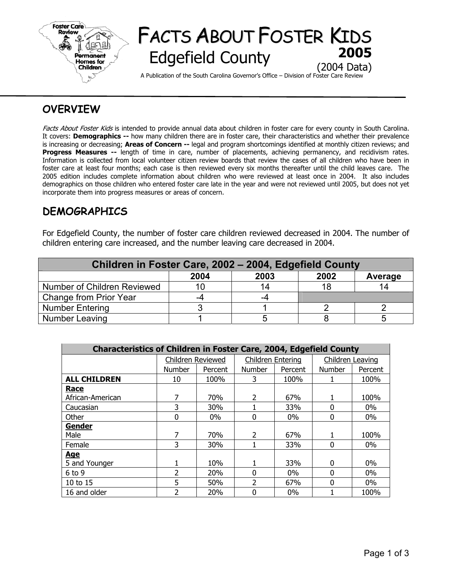

# FACTS ABOUT FOSTER KIDS **Edgefield County** (2004 Data)

A Publication of the South Carolina Governor's Office – Division of Foster Care Review

## **OVERVIEW**

Facts About Foster Kids is intended to provide annual data about children in foster care for every county in South Carolina. It covers: **Demographics --** how many children there are in foster care, their characteristics and whether their prevalence is increasing or decreasing; **Areas of Concern --** legal and program shortcomings identified at monthly citizen reviews; and **Progress Measures --** length of time in care, number of placements, achieving permanency, and recidivism rates. Information is collected from local volunteer citizen review boards that review the cases of all children who have been in foster care at least four months; each case is then reviewed every six months thereafter until the child leaves care. The 2005 edition includes complete information about children who were reviewed at least once in 2004. It also includes demographics on those children who entered foster care late in the year and were not reviewed until 2005, but does not yet incorporate them into progress measures or areas of concern.

## **DEMOGRAPHICS**

For Edgefield County, the number of foster care children reviewed decreased in 2004. The number of children entering care increased, and the number leaving care decreased in 2004.

| Children in Foster Care, 2002 - 2004, Edgefield County |      |      |      |         |  |  |  |  |
|--------------------------------------------------------|------|------|------|---------|--|--|--|--|
|                                                        | 2004 | 2003 | 2002 | Average |  |  |  |  |
| Number of Children Reviewed                            | 10   | 14   | 18   | 14      |  |  |  |  |
| Change from Prior Year                                 | -4   |      |      |         |  |  |  |  |
| <b>Number Entering</b>                                 |      |      |      |         |  |  |  |  |
| Number Leaving                                         |      |      |      |         |  |  |  |  |

| <b>Characteristics of Children in Foster Care, 2004, Edgefield County</b> |                |                                        |                |         |                  |         |  |  |  |
|---------------------------------------------------------------------------|----------------|----------------------------------------|----------------|---------|------------------|---------|--|--|--|
|                                                                           |                | Children Entering<br>Children Reviewed |                |         | Children Leaving |         |  |  |  |
|                                                                           | <b>Number</b>  | Percent                                | <b>Number</b>  | Percent | <b>Number</b>    | Percent |  |  |  |
| <b>ALL CHILDREN</b>                                                       | 10             | 100%                                   | 3              | 100%    |                  | 100%    |  |  |  |
| <b>Race</b>                                                               |                |                                        |                |         |                  |         |  |  |  |
| African-American                                                          | 7              | 70%                                    | $\overline{2}$ | 67%     |                  | 100%    |  |  |  |
| Caucasian                                                                 | 3              | 30%                                    |                | 33%     | $\Omega$         | $0\%$   |  |  |  |
| Other                                                                     | 0              | $0\%$                                  | $\Omega$       | $0\%$   | 0                | $0\%$   |  |  |  |
| Gender                                                                    |                |                                        |                |         |                  |         |  |  |  |
| Male                                                                      | 7              | 70%                                    | $\overline{2}$ | 67%     |                  | 100%    |  |  |  |
| Female                                                                    | 3              | 30%                                    |                | 33%     | $\Omega$         | $0\%$   |  |  |  |
| <b>Age</b>                                                                |                |                                        |                |         |                  |         |  |  |  |
| 5 and Younger                                                             |                | 10%                                    |                | 33%     | 0                | $0\%$   |  |  |  |
| $6$ to $9$                                                                | $\overline{2}$ | 20%                                    | 0              | $0\%$   | 0                | $0\%$   |  |  |  |
| 10 to 15                                                                  | 5              | 50%                                    | 2              | 67%     | $\Omega$         | $0\%$   |  |  |  |
| 16 and older                                                              | $\overline{2}$ | 20%                                    | 0              | 0%      |                  | 100%    |  |  |  |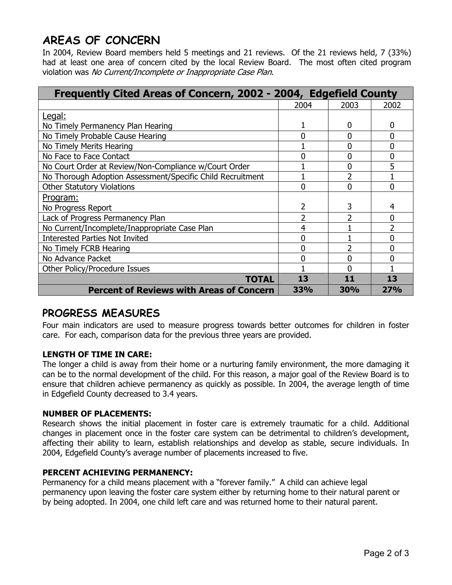## **AREAS OF CONCERN**

In 2004, Review Board members held 5 meetings and 21 reviews. Of the 21 reviews held, 7 (33%) had at least one area of concern cited by the local Review Board. The most often cited program violation was No Current/Incomplete or Inappropriate Case Plan.

| Frequently Cited Areas of Concern, 2002 - 2004, Edgefield County |      |      |                |
|------------------------------------------------------------------|------|------|----------------|
|                                                                  | 2004 | 2003 | 2002           |
| Legal:                                                           |      |      |                |
| No Timely Permanency Plan Hearing                                |      | 0    | 0              |
| No Timely Probable Cause Hearing                                 | 0    | 0    | 0              |
| No Timely Merits Hearing                                         |      | ი    | $\overline{0}$ |
| No Face to Face Contact                                          |      | N    | 0              |
| No Court Order at Review/Non-Compliance w/Court Order            |      | 0    | 5              |
| No Thorough Adoption Assessment/Specific Child Recruitment       |      |      |                |
| <b>Other Statutory Violations</b>                                |      | 0    | 0              |
| Program:                                                         |      |      |                |
| No Progress Report                                               | 2    | 3    | 4              |
| Lack of Progress Permanency Plan                                 | 2    | 2    | 0              |
| No Current/Incomplete/Inappropriate Case Plan                    | 4    |      | $\overline{2}$ |
| <b>Interested Parties Not Invited</b>                            | 0    |      | 0              |
| No Timely FCRB Hearing                                           | 0    |      | 0              |
| No Advance Packet                                                |      |      |                |
| Other Policy/Procedure Issues                                    |      |      |                |
| TOTAL                                                            | 13   | 11   | 13             |
| <b>Percent of Reviews with Areas of Concern</b>                  | 33%  | 30%  | 27%            |

## **PROGRESS MEASURES**

Four main indicators are used to measure progress towards better outcomes for children in foster care. For each, comparison data for the previous three years are provided.

### **LENGTH OF TIME IN CARE:**

The longer a child is away from their home or a nurturing family environment, the more damaging it can be to the normal development of the child. For this reason, a major goal of the Review Board is to ensure that children achieve permanency as quickly as possible. In 2004, the average length of time in Edgefield County decreased to 3.4 years.

### **NUMBER OF PLACEMENTS:**

Research shows the initial placement in foster care is extremely traumatic for a child. Additional changes in placement once in the foster care system can be detrimental to children's development, affecting their ability to learn, establish relationships and develop as stable, secure individuals. In 2004, Edgefield County's average number of placements increased to five.

### **PERCENT ACHIEVING PERMANENCY:**

Permanency for a child means placement with a "forever family." A child can achieve legal permanency upon leaving the foster care system either by returning home to their natural parent or by being adopted. In 2004, one child left care and was returned home to their natural parent.